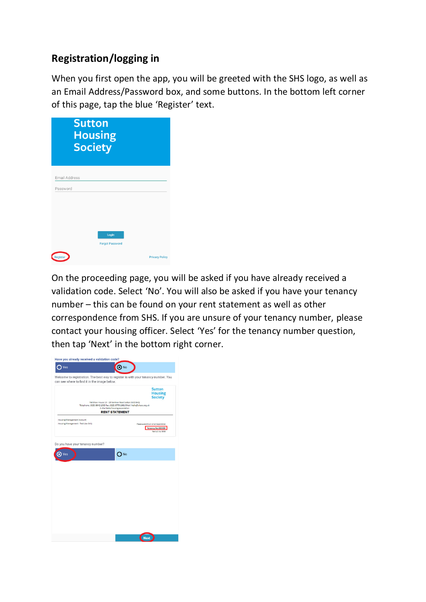## **Registration/logging in**

When you first open the app, you will be greeted with the SHS logo, as well as an Email Address/Password box, and some buttons. In the bottom left corner of this page, tap the blue 'Register' text.

| <b>Sutton</b><br><b>Housing</b><br><b>Society</b> |                       |
|---------------------------------------------------|-----------------------|
| <b>Email Address</b><br>Password                  |                       |
| Login<br><b>Forgot Password</b>                   |                       |
| Register                                          | <b>Privacy Policy</b> |

On the proceeding page, you will be asked if you have already received a validation code. Select 'No'. You will also be asked if you have your tenancy number – this can be found on your rent statement as well as other correspondence from SHS. If you are unsure of your tenancy number, please contact your housing officer. Select 'Yes' for the tenancy number question, then tap 'Next' in the bottom right corner.

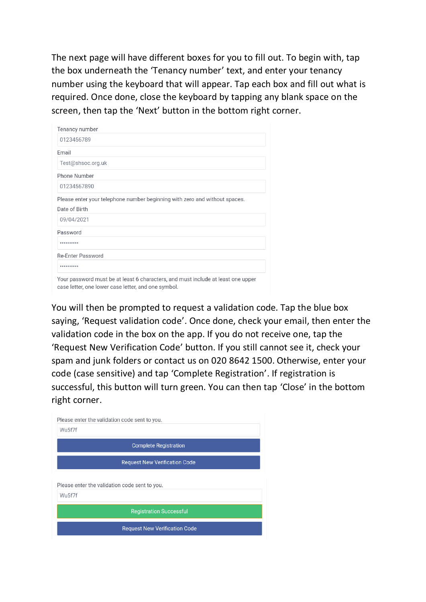The next page will have different boxes for you to fill out. To begin with, tap the box underneath the 'Tenancy number' text, and enter your tenancy number using the keyboard that will appear. Tap each box and fill out what is required. Once done, close the keyboard by tapping any blank space on the screen, then tap the 'Next' button in the bottom right corner.

| Tenancy number                                                                                                                          |
|-----------------------------------------------------------------------------------------------------------------------------------------|
| 0123456789                                                                                                                              |
| Email                                                                                                                                   |
| Test@shsoc.org.uk                                                                                                                       |
| Phone Number                                                                                                                            |
| 01234567890                                                                                                                             |
| Please enter your telephone number beginning with zero and without spaces.                                                              |
| Date of Birth                                                                                                                           |
| 09/04/2021                                                                                                                              |
| Password                                                                                                                                |
|                                                                                                                                         |
| Re-Enter Password                                                                                                                       |
|                                                                                                                                         |
| Your password must be at least 6 characters, and must include at least one upper<br>case letter, one lower case letter, and one symbol. |

You will then be prompted to request a validation code. Tap the blue box saying, 'Request validation code'. Once done, check your email, then enter the validation code in the box on the app. If you do not receive one, tap the 'Request New Verification Code' button. If you still cannot see it, check your spam and junk folders or contact us on 020 8642 1500. Otherwise, enter your code (case sensitive) and tap 'Complete Registration'. If registration is successful, this button will turn green. You can then tap 'Close' in the bottom right corner.

| Wu5f7f |                                               |  |
|--------|-----------------------------------------------|--|
|        |                                               |  |
|        | <b>Complete Registration</b>                  |  |
|        | <b>Request New Verification Code</b>          |  |
|        |                                               |  |
|        |                                               |  |
|        | Please enter the validation code sent to you. |  |
| Wu5f7f |                                               |  |
|        |                                               |  |
|        | <b>Registration Successful</b>                |  |